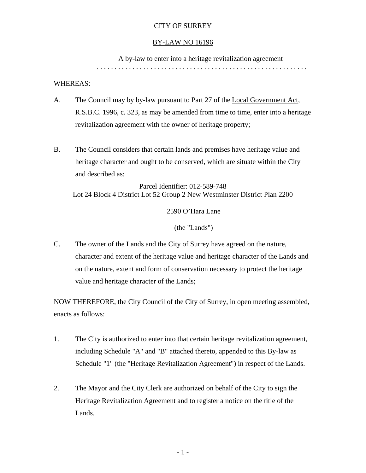## CITY OF SURREY

#### BY-LAW NO 16196

A by-law to enter into a heritage revitalization agreement

. . . . . . . . . . . . . . . . . . . . . . . . . . . . . . . . . . . . . . . . . . . . . . . . . . . . . . . . . . .

### WHEREAS:

- A. The Council may by by-law pursuant to Part 27 of the Local Government Act, R.S.B.C. 1996, c. 323, as may be amended from time to time, enter into a heritage revitalization agreement with the owner of heritage property;
- B. The Council considers that certain lands and premises have heritage value and heritage character and ought to be conserved, which are situate within the City and described as:

Parcel Identifier: 012-589-748 Lot 24 Block 4 District Lot 52 Group 2 New Westminster District Plan 2200

2590 O'Hara Lane

(the "Lands")

C. The owner of the Lands and the City of Surrey have agreed on the nature, character and extent of the heritage value and heritage character of the Lands and on the nature, extent and form of conservation necessary to protect the heritage value and heritage character of the Lands;

NOW THEREFORE, the City Council of the City of Surrey, in open meeting assembled, enacts as follows:

- 1. The City is authorized to enter into that certain heritage revitalization agreement, including Schedule "A" and "B" attached thereto, appended to this By-law as Schedule "1" (the "Heritage Revitalization Agreement") in respect of the Lands.
- 2. The Mayor and the City Clerk are authorized on behalf of the City to sign the Heritage Revitalization Agreement and to register a notice on the title of the Lands.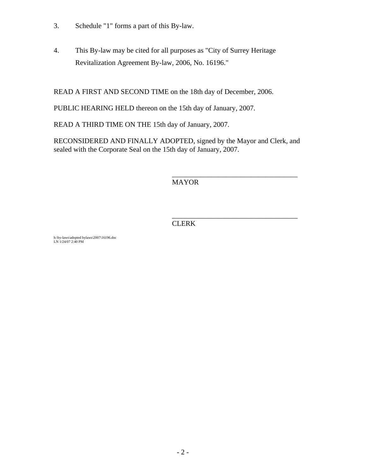- 3. Schedule "1" forms a part of this By-law.
- 4. This By-law may be cited for all purposes as "City of Surrey Heritage Revitalization Agreement By-law, 2006, No. 16196."

READ A FIRST AND SECOND TIME on the 18th day of December, 2006.

PUBLIC HEARING HELD thereon on the 15th day of January, 2007.

READ A THIRD TIME ON THE 15th day of January, 2007.

RECONSIDERED AND FINALLY ADOPTED, signed by the Mayor and Clerk, and sealed with the Corporate Seal on the 15th day of January, 2007.

 $\overline{\phantom{a}}$  , and the contract of the contract of the contract of the contract of the contract of the contract of the contract of the contract of the contract of the contract of the contract of the contract of the contrac

MAYOR

 $\overline{\phantom{a}}$  , and the contract of the contract of the contract of the contract of the contract of the contract of the contract of the contract of the contract of the contract of the contract of the contract of the contrac **CLERK** 

h:\by-laws\adopted bylaws\2007\16196.doc LN 1/24/07 2:40 PM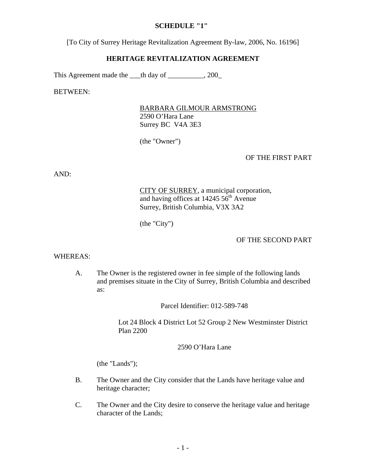### **SCHEDULE "1"**

[To City of Surrey Heritage Revitalization Agreement By-law, 2006, No. 16196]

#### **HERITAGE REVITALIZATION AGREEMENT**

This Agreement made the \_\_\_th day of \_\_\_\_\_\_\_\_, 200\_

BETWEEN:

BARBARA GILMOUR ARMSTRONG 2590 O'Hara Lane Surrey BC V4A 3E3

(the "Owner")

### OF THE FIRST PART

AND:

CITY OF SURREY, a municipal corporation, and having offices at  $14245\,56^{\text{th}}$  Avenue Surrey, British Columbia, V3X 3A2

(the "City")

#### OF THE SECOND PART

#### WHEREAS:

A. The Owner is the registered owner in fee simple of the following lands and premises situate in the City of Surrey, British Columbia and described as:

Parcel Identifier: 012-589-748

Lot 24 Block 4 District Lot 52 Group 2 New Westminster District Plan 2200

2590 O'Hara Lane

(the "Lands");

- B. The Owner and the City consider that the Lands have heritage value and heritage character;
- C. The Owner and the City desire to conserve the heritage value and heritage character of the Lands;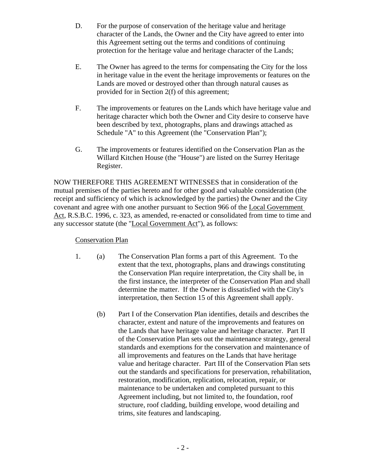- D. For the purpose of conservation of the heritage value and heritage character of the Lands, the Owner and the City have agreed to enter into this Agreement setting out the terms and conditions of continuing protection for the heritage value and heritage character of the Lands;
- E. The Owner has agreed to the terms for compensating the City for the loss in heritage value in the event the heritage improvements or features on the Lands are moved or destroyed other than through natural causes as provided for in Section 2(f) of this agreement;
- F. The improvements or features on the Lands which have heritage value and heritage character which both the Owner and City desire to conserve have been described by text, photographs, plans and drawings attached as Schedule "A" to this Agreement (the "Conservation Plan");
- G. The improvements or features identified on the Conservation Plan as the Willard Kitchen House (the "House") are listed on the Surrey Heritage Register.

NOW THEREFORE THIS AGREEMENT WITNESSES that in consideration of the mutual premises of the parties hereto and for other good and valuable consideration (the receipt and sufficiency of which is acknowledged by the parties) the Owner and the City covenant and agree with one another pursuant to Section 966 of the Local Government Act, R.S.B.C. 1996, c. 323, as amended, re-enacted or consolidated from time to time and any successor statute (the "Local Government Act"), as follows:

## Conservation Plan

- 1. (a) The Conservation Plan forms a part of this Agreement. To the extent that the text, photographs, plans and drawings constituting the Conservation Plan require interpretation, the City shall be, in the first instance, the interpreter of the Conservation Plan and shall determine the matter. If the Owner is dissatisfied with the City's interpretation, then Section 15 of this Agreement shall apply.
	- (b) Part I of the Conservation Plan identifies, details and describes the character, extent and nature of the improvements and features on the Lands that have heritage value and heritage character. Part II of the Conservation Plan sets out the maintenance strategy, general standards and exemptions for the conservation and maintenance of all improvements and features on the Lands that have heritage value and heritage character. Part III of the Conservation Plan sets out the standards and specifications for preservation, rehabilitation, restoration, modification, replication, relocation, repair, or maintenance to be undertaken and completed pursuant to this Agreement including, but not limited to, the foundation, roof structure, roof cladding, building envelope, wood detailing and trims, site features and landscaping.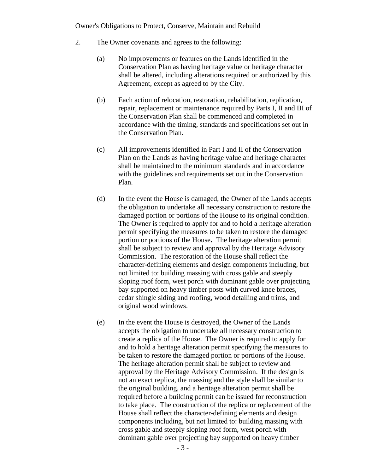### Owner's Obligations to Protect, Conserve, Maintain and Rebuild

- 2. The Owner covenants and agrees to the following:
	- (a) No improvements or features on the Lands identified in the Conservation Plan as having heritage value or heritage character shall be altered, including alterations required or authorized by this Agreement, except as agreed to by the City.
	- (b) Each action of relocation, restoration, rehabilitation, replication, repair, replacement or maintenance required by Parts I, II and III of the Conservation Plan shall be commenced and completed in accordance with the timing, standards and specifications set out in the Conservation Plan.
	- (c) All improvements identified in Part I and II of the Conservation Plan on the Lands as having heritage value and heritage character shall be maintained to the minimum standards and in accordance with the guidelines and requirements set out in the Conservation Plan.
	- (d) In the event the House is damaged, the Owner of the Lands accepts the obligation to undertake all necessary construction to restore the damaged portion or portions of the House to its original condition. The Owner is required to apply for and to hold a heritage alteration permit specifying the measures to be taken to restore the damaged portion or portions of the House**.** The heritage alteration permit shall be subject to review and approval by the Heritage Advisory Commission. The restoration of the House shall reflect the character-defining elements and design components including, but not limited to: building massing with cross gable and steeply sloping roof form, west porch with dominant gable over projecting bay supported on heavy timber posts with curved knee braces, cedar shingle siding and roofing, wood detailing and trims, and original wood windows.
	- (e) In the event the House is destroyed, the Owner of the Lands accepts the obligation to undertake all necessary construction to create a replica of the House. The Owner is required to apply for and to hold a heritage alteration permit specifying the measures to be taken to restore the damaged portion or portions of the House. The heritage alteration permit shall be subject to review and approval by the Heritage Advisory Commission. If the design is not an exact replica, the massing and the style shall be similar to the original building, and a heritage alteration permit shall be required before a building permit can be issued for reconstruction to take place. The construction of the replica or replacement of the House shall reflect the character-defining elements and design components including, but not limited to: building massing with cross gable and steeply sloping roof form, west porch with dominant gable over projecting bay supported on heavy timber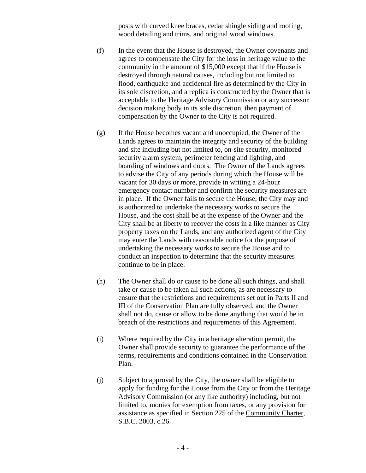posts with curved knee braces, cedar shingle siding and roofing, wood detailing and trims, and original wood windows.

- (f) In the event that the House is destroyed, the Owner covenants and agrees to compensate the City for the loss in heritage value to the community in the amount of \$15,000 except that if the House is destroyed through natural causes, including but not limited to flood, earthquake and accidental fire as determined by the City in its sole discretion, and a replica is constructed by the Owner that is acceptable to the Heritage Advisory Commission or any successor decision making body in its sole discretion, then payment of compensation by the Owner to the City is not required.
- (g) If the House becomes vacant and unoccupied, the Owner of the Lands agrees to maintain the integrity and security of the building and site including but not limited to, on-site security, monitored security alarm system, perimeter fencing and lighting, and boarding of windows and doors. The Owner of the Lands agrees to advise the City of any periods during which the House will be vacant for 30 days or more, provide in writing a 24-hour emergency contact number and confirm the security measures are in place. If the Owner fails to secure the House, the City may and is authorized to undertake the necessary works to secure the House, and the cost shall be at the expense of the Owner and the City shall be at liberty to recover the costs in a like manner as City property taxes on the Lands, and any authorized agent of the City may enter the Lands with reasonable notice for the purpose of undertaking the necessary works to secure the House and to conduct an inspection to determine that the security measures continue to be in place.
- (h) The Owner shall do or cause to be done all such things, and shall take or cause to be taken all such actions, as are necessary to ensure that the restrictions and requirements set out in Parts II and III of the Conservation Plan are fully observed, and the Owner shall not do, cause or allow to be done anything that would be in breach of the restrictions and requirements of this Agreement.
- (i) Where required by the City in a heritage alteration permit, the Owner shall provide security to guarantee the performance of the terms, requirements and conditions contained in the Conservation Plan.
- (j) Subject to approval by the City, the owner shall be eligible to apply for funding for the House from the City or from the Heritage Advisory Commission (or any like authority) including, but not limited to, monies for exemption from taxes, or any provision for assistance as specified in Section 225 of the Community Charter, S.B.C. 2003, c.26.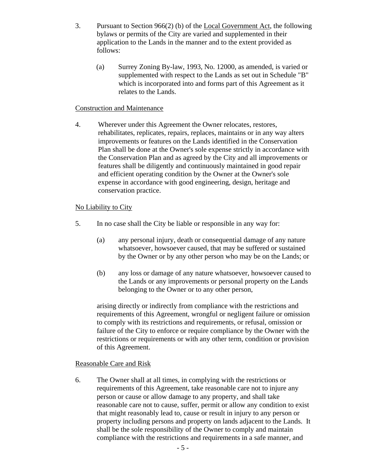- 3. Pursuant to Section 966(2) (b) of the Local Government Act, the following bylaws or permits of the City are varied and supplemented in their application to the Lands in the manner and to the extent provided as follows:
	- (a) Surrey Zoning By-law, 1993, No. 12000, as amended, is varied or supplemented with respect to the Lands as set out in Schedule "B" which is incorporated into and forms part of this Agreement as it relates to the Lands.

### Construction and Maintenance

4. Wherever under this Agreement the Owner relocates, restores, rehabilitates, replicates, repairs, replaces, maintains or in any way alters improvements or features on the Lands identified in the Conservation Plan shall be done at the Owner's sole expense strictly in accordance with the Conservation Plan and as agreed by the City and all improvements or features shall be diligently and continuously maintained in good repair and efficient operating condition by the Owner at the Owner's sole expense in accordance with good engineering, design, heritage and conservation practice.

### No Liability to City

- 5. In no case shall the City be liable or responsible in any way for:
	- (a) any personal injury, death or consequential damage of any nature whatsoever, howsoever caused, that may be suffered or sustained by the Owner or by any other person who may be on the Lands; or
	- (b) any loss or damage of any nature whatsoever, howsoever caused to the Lands or any improvements or personal property on the Lands belonging to the Owner or to any other person,

arising directly or indirectly from compliance with the restrictions and requirements of this Agreement, wrongful or negligent failure or omission to comply with its restrictions and requirements, or refusal, omission or failure of the City to enforce or require compliance by the Owner with the restrictions or requirements or with any other term, condition or provision of this Agreement.

### Reasonable Care and Risk

6. The Owner shall at all times, in complying with the restrictions or requirements of this Agreement, take reasonable care not to injure any person or cause or allow damage to any property, and shall take reasonable care not to cause, suffer, permit or allow any condition to exist that might reasonably lead to, cause or result in injury to any person or property including persons and property on lands adjacent to the Lands. It shall be the sole responsibility of the Owner to comply and maintain compliance with the restrictions and requirements in a safe manner, and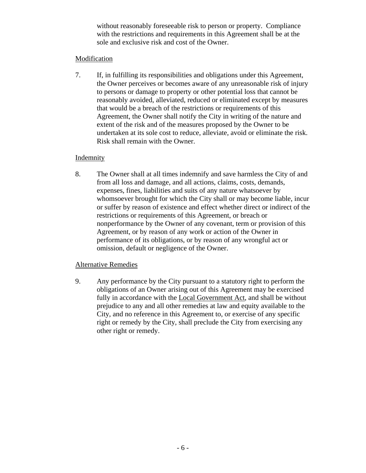without reasonably foreseeable risk to person or property. Compliance with the restrictions and requirements in this Agreement shall be at the sole and exclusive risk and cost of the Owner.

## Modification

7. If, in fulfilling its responsibilities and obligations under this Agreement, the Owner perceives or becomes aware of any unreasonable risk of injury to persons or damage to property or other potential loss that cannot be reasonably avoided, alleviated, reduced or eliminated except by measures that would be a breach of the restrictions or requirements of this Agreement, the Owner shall notify the City in writing of the nature and extent of the risk and of the measures proposed by the Owner to be undertaken at its sole cost to reduce, alleviate, avoid or eliminate the risk. Risk shall remain with the Owner.

## Indemnity

8. The Owner shall at all times indemnify and save harmless the City of and from all loss and damage, and all actions, claims, costs, demands, expenses, fines, liabilities and suits of any nature whatsoever by whomsoever brought for which the City shall or may become liable, incur or suffer by reason of existence and effect whether direct or indirect of the restrictions or requirements of this Agreement, or breach or nonperformance by the Owner of any covenant, term or provision of this Agreement, or by reason of any work or action of the Owner in performance of its obligations, or by reason of any wrongful act or omission, default or negligence of the Owner.

## Alternative Remedies

9. Any performance by the City pursuant to a statutory right to perform the obligations of an Owner arising out of this Agreement may be exercised fully in accordance with the Local Government Act, and shall be without prejudice to any and all other remedies at law and equity available to the City, and no reference in this Agreement to, or exercise of any specific right or remedy by the City, shall preclude the City from exercising any other right or remedy.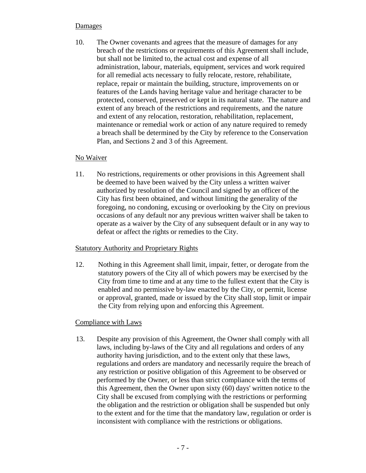## **Damages**

10. The Owner covenants and agrees that the measure of damages for any breach of the restrictions or requirements of this Agreement shall include, but shall not be limited to, the actual cost and expense of all administration, labour, materials, equipment, services and work required for all remedial acts necessary to fully relocate, restore, rehabilitate, replace, repair or maintain the building, structure, improvements on or features of the Lands having heritage value and heritage character to be protected, conserved, preserved or kept in its natural state. The nature and extent of any breach of the restrictions and requirements, and the nature and extent of any relocation, restoration, rehabilitation, replacement, maintenance or remedial work or action of any nature required to remedy a breach shall be determined by the City by reference to the Conservation Plan, and Sections 2 and 3 of this Agreement.

### No Waiver

11. No restrictions, requirements or other provisions in this Agreement shall be deemed to have been waived by the City unless a written waiver authorized by resolution of the Council and signed by an officer of the City has first been obtained, and without limiting the generality of the foregoing, no condoning, excusing or overlooking by the City on previous occasions of any default nor any previous written waiver shall be taken to operate as a waiver by the City of any subsequent default or in any way to defeat or affect the rights or remedies to the City.

## Statutory Authority and Proprietary Rights

12. Nothing in this Agreement shall limit, impair, fetter, or derogate from the statutory powers of the City all of which powers may be exercised by the City from time to time and at any time to the fullest extent that the City is enabled and no permissive by-law enacted by the City, or permit, license or approval, granted, made or issued by the City shall stop, limit or impair the City from relying upon and enforcing this Agreement.

## Compliance with Laws

13. Despite any provision of this Agreement, the Owner shall comply with all laws, including by-laws of the City and all regulations and orders of any authority having jurisdiction, and to the extent only that these laws, regulations and orders are mandatory and necessarily require the breach of any restriction or positive obligation of this Agreement to be observed or performed by the Owner, or less than strict compliance with the terms of this Agreement, then the Owner upon sixty (60) days' written notice to the City shall be excused from complying with the restrictions or performing the obligation and the restriction or obligation shall be suspended but only to the extent and for the time that the mandatory law, regulation or order is inconsistent with compliance with the restrictions or obligations.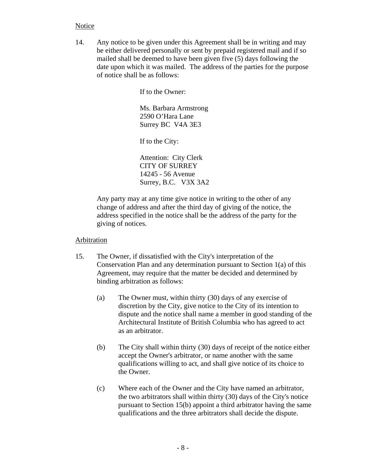## Notice

14. Any notice to be given under this Agreement shall be in writing and may be either delivered personally or sent by prepaid registered mail and if so mailed shall be deemed to have been given five (5) days following the date upon which it was mailed. The address of the parties for the purpose of notice shall be as follows:

If to the Owner:

Ms. Barbara Armstrong 2590 O'Hara Lane Surrey BC V4A 3E3

If to the City:

Attention: City Clerk CITY OF SURREY 14245 - 56 Avenue Surrey, B.C. V3X 3A2

 Any party may at any time give notice in writing to the other of any change of address and after the third day of giving of the notice, the address specified in the notice shall be the address of the party for the giving of notices.

## Arbitration

- 15. The Owner, if dissatisfied with the City's interpretation of the Conservation Plan and any determination pursuant to Section 1(a) of this Agreement, may require that the matter be decided and determined by binding arbitration as follows:
	- (a) The Owner must, within thirty (30) days of any exercise of discretion by the City, give notice to the City of its intention to dispute and the notice shall name a member in good standing of the Architectural Institute of British Columbia who has agreed to act as an arbitrator.
	- (b) The City shall within thirty (30) days of receipt of the notice either accept the Owner's arbitrator, or name another with the same qualifications willing to act, and shall give notice of its choice to the Owner.
	- (c) Where each of the Owner and the City have named an arbitrator, the two arbitrators shall within thirty (30) days of the City's notice pursuant to Section 15(b) appoint a third arbitrator having the same qualifications and the three arbitrators shall decide the dispute.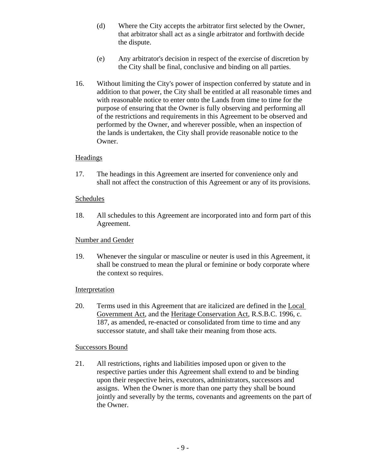- (d) Where the City accepts the arbitrator first selected by the Owner, that arbitrator shall act as a single arbitrator and forthwith decide the dispute.
- (e) Any arbitrator's decision in respect of the exercise of discretion by the City shall be final, conclusive and binding on all parties.
- 16. Without limiting the City's power of inspection conferred by statute and in addition to that power, the City shall be entitled at all reasonable times and with reasonable notice to enter onto the Lands from time to time for the purpose of ensuring that the Owner is fully observing and performing all of the restrictions and requirements in this Agreement to be observed and performed by the Owner, and wherever possible, when an inspection of the lands is undertaken, the City shall provide reasonable notice to the Owner.

### Headings

17. The headings in this Agreement are inserted for convenience only and shall not affect the construction of this Agreement or any of its provisions.

### Schedules

18. All schedules to this Agreement are incorporated into and form part of this Agreement.

## Number and Gender

19. Whenever the singular or masculine or neuter is used in this Agreement, it shall be construed to mean the plural or feminine or body corporate where the context so requires.

## Interpretation

20. Terms used in this Agreement that are italicized are defined in the Local Government Act, and the Heritage Conservation Act, R.S.B.C. 1996, c. 187, as amended, re-enacted or consolidated from time to time and any successor statute, and shall take their meaning from those acts.

### Successors Bound

21. All restrictions, rights and liabilities imposed upon or given to the respective parties under this Agreement shall extend to and be binding upon their respective heirs, executors, administrators, successors and assigns. When the Owner is more than one party they shall be bound jointly and severally by the terms, covenants and agreements on the part of the Owner.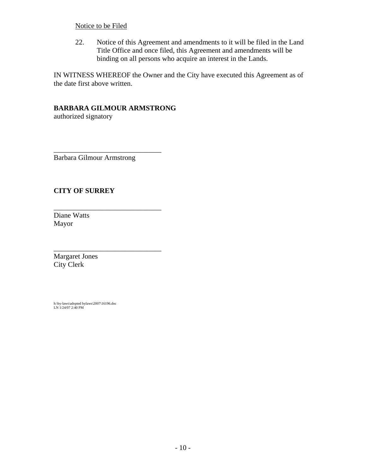## Notice to be Filed

22. Notice of this Agreement and amendments to it will be filed in the Land Title Office and once filed, this Agreement and amendments will be binding on all persons who acquire an interest in the Lands.

IN WITNESS WHEREOF the Owner and the City have executed this Agreement as of the date first above written.

# **BARBARA GILMOUR ARMSTRONG**

authorized signatory

Barbara Gilmour Armstrong

\_\_\_\_\_\_\_\_\_\_\_\_\_\_\_\_\_\_\_\_\_\_\_\_\_\_\_\_\_\_

\_\_\_\_\_\_\_\_\_\_\_\_\_\_\_\_\_\_\_\_\_\_\_\_\_\_\_\_\_\_

\_\_\_\_\_\_\_\_\_\_\_\_\_\_\_\_\_\_\_\_\_\_\_\_\_\_\_\_\_\_

# **CITY OF SURREY**

Diane Watts Mayor

Margaret Jones City Clerk

h:\by-laws\adopted bylaws\2007\16196.doc LN 1/24/07 2:40 PM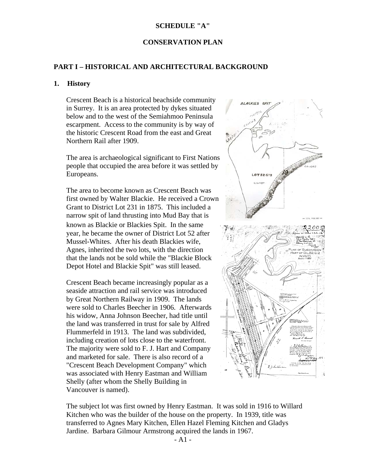#### **SCHEDULE "A"**

#### **CONSERVATION PLAN**

### **PART I – HISTORICAL AND ARCHITECTURAL BACKGROUND**

#### **1. History**

Crescent Beach is a historical beachside community in Surrey. It is an area protected by dykes situated below and to the west of the Semiahmoo Peninsula escarpment. Access to the community is by way of the historic Crescent Road from the east and Great Northern Rail after 1909.

The area is archaeological significant to First Nations people that occupied the area before it was settled by Europeans.

The area to become known as Crescent Beach was first owned by Walter Blackie. He received a Crown Grant to District Lot 231 in 1875. This included a narrow spit of land thrusting into Mud Bay that is known as Blackie or Blackies Spit. In the same year, he became the owner of District Lot 52 after Mussel-Whites. After his death Blackies wife, Agnes, inherited the two lots, with the direction that the lands not be sold while the "Blackie Block Depot Hotel and Blackie Spit" was still leased.

Crescent Beach became increasingly popular as a seaside attraction and rail service was introduced by Great Northern Railway in 1909. The lands were sold to Charles Beecher in 1906. Afterwards his widow, Anna Johnson Beecher, had title until the land was transferred in trust for sale by Alfred Flummerfeld in 1913. The land was subdivided, including creation of lots close to the waterfront. The majority were sold to F. J. Hart and Company and marketed for sale. There is also record of a "Crescent Beach Development Company" which was associated with Henry Eastman and William Shelly (after whom the Shelly Building in Vancouver is named).



The subject lot was first owned by Henry Eastman. It was sold in 1916 to Willard Kitchen who was the builder of the house on the property. In 1939, title was transferred to Agnes Mary Kitchen, Ellen Hazel Fleming Kitchen and Gladys Jardine. Barbara Gilmour Armstrong acquired the lands in 1967.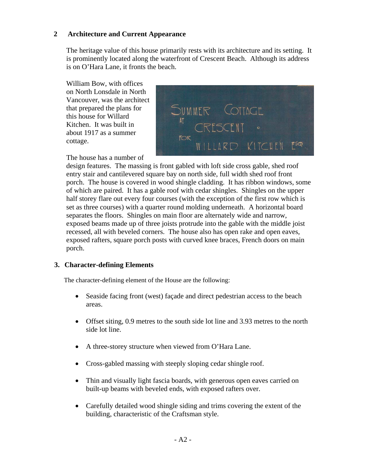# **2 Architecture and Current Appearance**

The heritage value of this house primarily rests with its architecture and its setting. It is prominently located along the waterfront of Crescent Beach. Although its address is on O'Hara Lane, it fronts the beach.

William Bow, with offices on North Lonsdale in North Vancouver, was the architect that prepared the plans for this house for Willard Kitchen. It was built in about 1917 as a summer cottage.



The house has a number of

design features. The massing is front gabled with loft side cross gable, shed roof entry stair and cantilevered square bay on north side, full width shed roof front porch. The house is covered in wood shingle cladding. It has ribbon windows, some of which are paired. It has a gable roof with cedar shingles. Shingles on the upper half storey flare out every four courses (with the exception of the first row which is set as three courses) with a quarter round molding underneath. A horizontal board separates the floors. Shingles on main floor are alternately wide and narrow, exposed beams made up of three joists protrude into the gable with the middle joist recessed, all with beveled corners. The house also has open rake and open eaves, exposed rafters, square porch posts with curved knee braces, French doors on main porch.

## **3. Character-defining Elements**

The character-defining element of the House are the following:

- Seaside facing front (west) facade and direct pedestrian access to the beach areas.
- Offset siting, 0.9 metres to the south side lot line and 3.93 metres to the north side lot line.
- A three-storey structure when viewed from O'Hara Lane.
- Cross-gabled massing with steeply sloping cedar shingle roof.
- Thin and visually light fascia boards, with generous open eaves carried on built-up beams with beveled ends, with exposed rafters over.
- Carefully detailed wood shingle siding and trims covering the extent of the building, characteristic of the Craftsman style.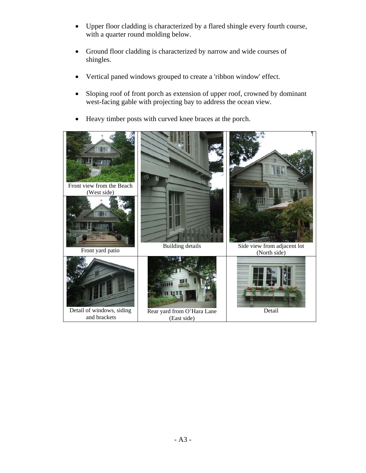- Upper floor cladding is characterized by a flared shingle every fourth course, with a quarter round molding below.
- Ground floor cladding is characterized by narrow and wide courses of shingles.
- Vertical paned windows grouped to create a 'ribbon window' effect.
- Sloping roof of front porch as extension of upper roof, crowned by dominant west-facing gable with projecting bay to address the ocean view.
- Heavy timber posts with curved knee braces at the porch.

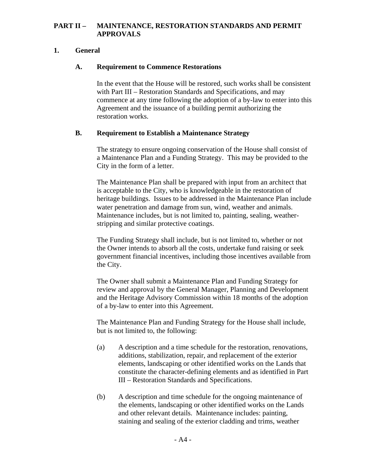## **PART II – MAINTENANCE, RESTORATION STANDARDS AND PERMIT APPROVALS**

# **1. General**

# **A. Requirement to Commence Restorations**

In the event that the House will be restored, such works shall be consistent with Part III – Restoration Standards and Specifications, and may commence at any time following the adoption of a by-law to enter into this Agreement and the issuance of a building permit authorizing the restoration works.

## **B. Requirement to Establish a Maintenance Strategy**

The strategy to ensure ongoing conservation of the House shall consist of a Maintenance Plan and a Funding Strategy. This may be provided to the City in the form of a letter.

The Maintenance Plan shall be prepared with input from an architect that is acceptable to the City, who is knowledgeable in the restoration of heritage buildings. Issues to be addressed in the Maintenance Plan include water penetration and damage from sun, wind, weather and animals. Maintenance includes, but is not limited to, painting, sealing, weatherstripping and similar protective coatings.

The Funding Strategy shall include, but is not limited to, whether or not the Owner intends to absorb all the costs, undertake fund raising or seek government financial incentives, including those incentives available from the City.

The Owner shall submit a Maintenance Plan and Funding Strategy for review and approval by the General Manager, Planning and Development and the Heritage Advisory Commission within 18 months of the adoption of a by-law to enter into this Agreement.

The Maintenance Plan and Funding Strategy for the House shall include, but is not limited to, the following:

- (a) A description and a time schedule for the restoration, renovations, additions, stabilization, repair, and replacement of the exterior elements, landscaping or other identified works on the Lands that constitute the character-defining elements and as identified in Part III – Restoration Standards and Specifications.
- (b) A description and time schedule for the ongoing maintenance of the elements, landscaping or other identified works on the Lands and other relevant details. Maintenance includes: painting, staining and sealing of the exterior cladding and trims, weather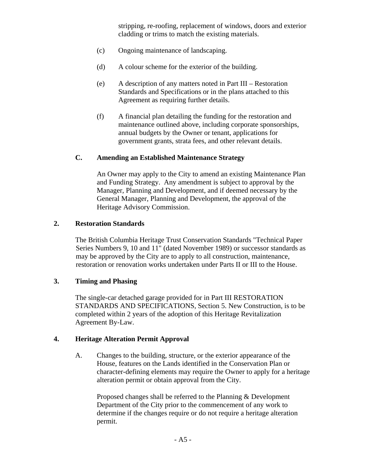stripping, re-roofing, replacement of windows, doors and exterior cladding or trims to match the existing materials.

- (c) Ongoing maintenance of landscaping.
- (d) A colour scheme for the exterior of the building.
- (e) A description of any matters noted in Part III Restoration Standards and Specifications or in the plans attached to this Agreement as requiring further details.
- (f) A financial plan detailing the funding for the restoration and maintenance outlined above, including corporate sponsorships, annual budgets by the Owner or tenant, applications for government grants, strata fees, and other relevant details.

## **C. Amending an Established Maintenance Strategy**

An Owner may apply to the City to amend an existing Maintenance Plan and Funding Strategy. Any amendment is subject to approval by the Manager, Planning and Development, and if deemed necessary by the General Manager, Planning and Development, the approval of the Heritage Advisory Commission.

### **2. Restoration Standards**

The British Columbia Heritage Trust Conservation Standards "Technical Paper Series Numbers 9, 10 and 11" (dated November 1989) or successor standards as may be approved by the City are to apply to all construction, maintenance, restoration or renovation works undertaken under Parts II or III to the House.

## **3. Timing and Phasing**

The single-car detached garage provided for in Part III RESTORATION STANDARDS AND SPECIFICATIONS, Section 5. New Construction, is to be completed within 2 years of the adoption of this Heritage Revitalization Agreement By-Law.

## **4. Heritage Alteration Permit Approval**

A. Changes to the building, structure, or the exterior appearance of the House, features on the Lands identified in the Conservation Plan or character-defining elements may require the Owner to apply for a heritage alteration permit or obtain approval from the City.

Proposed changes shall be referred to the Planning & Development Department of the City prior to the commencement of any work to determine if the changes require or do not require a heritage alteration permit.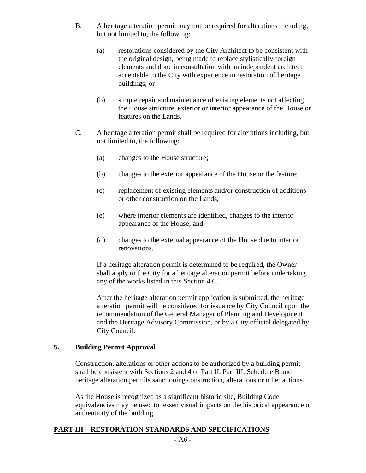- B. A heritage alteration permit may not be required for alterations including, but not limited to, the following:
	- (a) restorations considered by the City Architect to be consistent with the original design, being made to replace stylistically foreign elements and done in consultation with an independent architect acceptable to the City with experience in restoration of heritage buildings; or
	- (b) simple repair and maintenance of existing elements not affecting the House structure, exterior or interior appearance of the House or features on the Lands.
- C. A heritage alteration permit shall be required for alterations including, but not limited to, the following:
	- (a) changes to the House structure;
	- (b) changes to the exterior appearance of the House or the feature;
	- (c) replacement of existing elements and/or construction of additions or other construction on the Lands;
	- (e) where interior elements are identified, changes to the interior appearance of the House; and.
	- (d) changes to the external appearance of the House due to interior renovations.

If a heritage alteration permit is determined to be required, the Owner shall apply to the City for a heritage alteration permit before undertaking any of the works listed in this Section 4.C.

After the heritage alteration permit application is submitted, the heritage alteration permit will be considered for issuance by City Council upon the recommendation of the General Manager of Planning and Development and the Heritage Advisory Commission, or by a City official delegated by City Council.

## **5. Building Permit Approval**

Construction, alterations or other actions to be authorized by a building permit shall be consistent with Sections 2 and 4 of Part II, Part III, Schedule B and heritage alteration permits sanctioning construction, alterations or other actions.

As the House is recognized as a significant historic site, Building Code equivalencies may be used to lessen visual impacts on the historical appearance or authenticity of the building.

## **PART III – RESTORATION STANDARDS AND SPECIFICATIONS**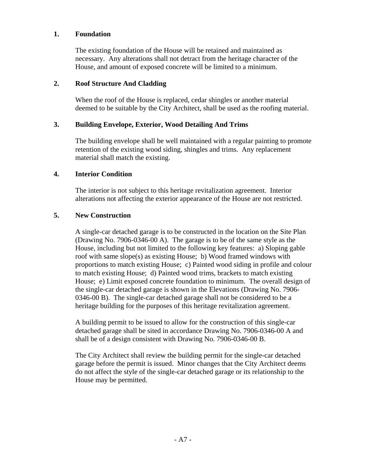### **1. Foundation**

The existing foundation of the House will be retained and maintained as necessary. Any alterations shall not detract from the heritage character of the House, and amount of exposed concrete will be limited to a minimum.

## **2. Roof Structure And Cladding**

When the roof of the House is replaced, cedar shingles or another material deemed to be suitable by the City Architect, shall be used as the roofing material.

### **3. Building Envelope, Exterior, Wood Detailing And Trims**

The building envelope shall be well maintained with a regular painting to promote retention of the existing wood siding, shingles and trims. Any replacement material shall match the existing.

### **4. Interior Condition**

The interior is not subject to this heritage revitalization agreement. Interior alterations not affecting the exterior appearance of the House are not restricted.

## **5. New Construction**

A single-car detached garage is to be constructed in the location on the Site Plan (Drawing No. 7906-0346-00 A). The garage is to be of the same style as the House, including but not limited to the following key features: a) Sloping gable roof with same slope(s) as existing House; b) Wood framed windows with proportions to match existing House; c) Painted wood siding in profile and colour to match existing House; d) Painted wood trims, brackets to match existing House; e) Limit exposed concrete foundation to minimum. The overall design of the single-car detached garage is shown in the Elevations (Drawing No. 7906- 0346-00 B). The single-car detached garage shall not be considered to be a heritage building for the purposes of this heritage revitalization agreement.

A building permit to be issued to allow for the construction of this single-car detached garage shall be sited in accordance Drawing No. 7906-0346-00 A and shall be of a design consistent with Drawing No. 7906-0346-00 B.

The City Architect shall review the building permit for the single-car detached garage before the permit is issued. Minor changes that the City Architect deems do not affect the style of the single-car detached garage or its relationship to the House may be permitted.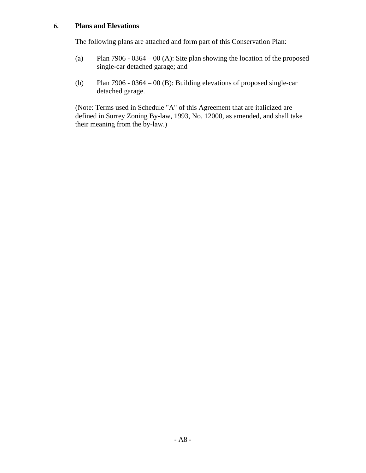# **6. Plans and Elevations**

The following plans are attached and form part of this Conservation Plan:

- (a) Plan 7906 0364 00 (A): Site plan showing the location of the proposed single-car detached garage; and
- (b) Plan 7906 0364 00 (B): Building elevations of proposed single-car detached garage.

(Note: Terms used in Schedule "A" of this Agreement that are italicized are defined in Surrey Zoning By-law, 1993, No. 12000, as amended, and shall take their meaning from the by-law.)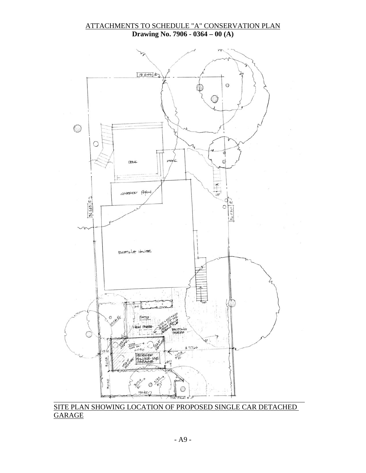### ATTACHMENTS TO SCHEDULE "A" CONSERVATION PLAN **Drawing No. 7906 - 0364 – 00 (A)**



SITE PLAN SHOWING LOCATION OF PROPOSED SINGLE CAR DETACHED **GARAGE**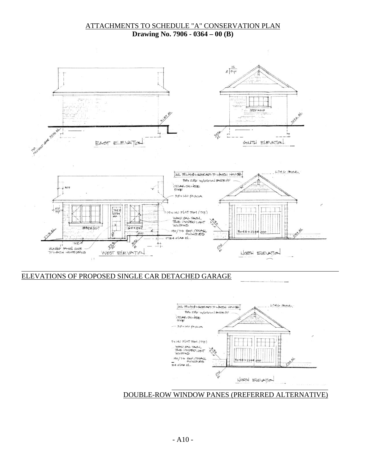### ATTACHMENTS TO SCHEDULE "A" CONSERVATION PLAN **Drawing No. 7906 - 0364 – 00 (B)**



# ELEVATIONS OF PROPOSED SINGLE CAR DETACHED GARAGE



### DOUBLE-ROW WINDOW PANES (PREFERRED ALTERNATIVE)